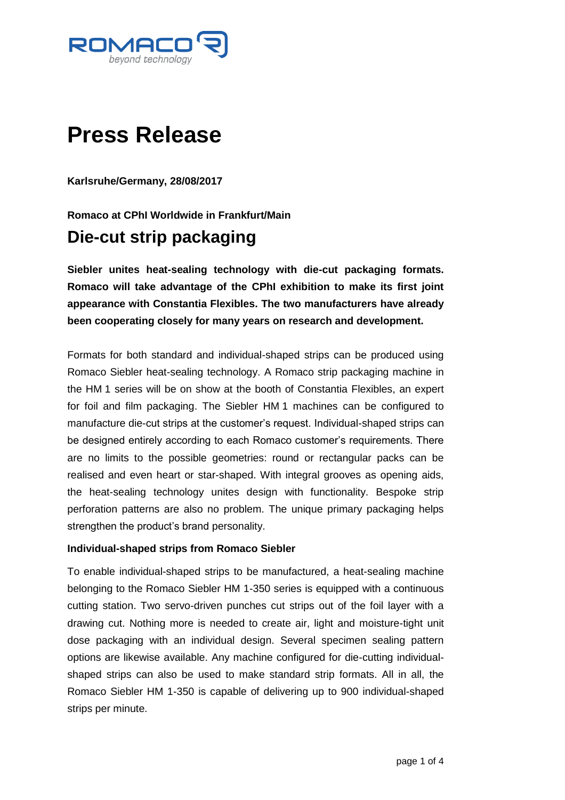

# **Press Release**

**Karlsruhe/Germany, 28/08/2017**

**Romaco at CPhI Worldwide in Frankfurt/Main**

# **Die-cut strip packaging**

**Siebler unites heat-sealing technology with die-cut packaging formats. Romaco will take advantage of the CPhI exhibition to make its first joint appearance with Constantia Flexibles. The two manufacturers have already been cooperating closely for many years on research and development.**

Formats for both standard and individual-shaped strips can be produced using Romaco Siebler heat-sealing technology. A Romaco strip packaging machine in the HM 1 series will be on show at the booth of Constantia Flexibles, an expert for foil and film packaging. The Siebler HM 1 machines can be configured to manufacture die-cut strips at the customer's request. Individual-shaped strips can be designed entirely according to each Romaco customer's requirements. There are no limits to the possible geometries: round or rectangular packs can be realised and even heart or star-shaped. With integral grooves as opening aids, the heat-sealing technology unites design with functionality. Bespoke strip perforation patterns are also no problem. The unique primary packaging helps strengthen the product's brand personality.

#### **Individual-shaped strips from Romaco Siebler**

To enable individual-shaped strips to be manufactured, a heat-sealing machine belonging to the Romaco Siebler HM 1-350 series is equipped with a continuous cutting station. Two servo-driven punches cut strips out of the foil layer with a drawing cut. Nothing more is needed to create air, light and moisture-tight unit dose packaging with an individual design. Several specimen sealing pattern options are likewise available. Any machine configured for die-cutting individualshaped strips can also be used to make standard strip formats. All in all, the Romaco Siebler HM 1-350 is capable of delivering up to 900 individual-shaped strips per minute.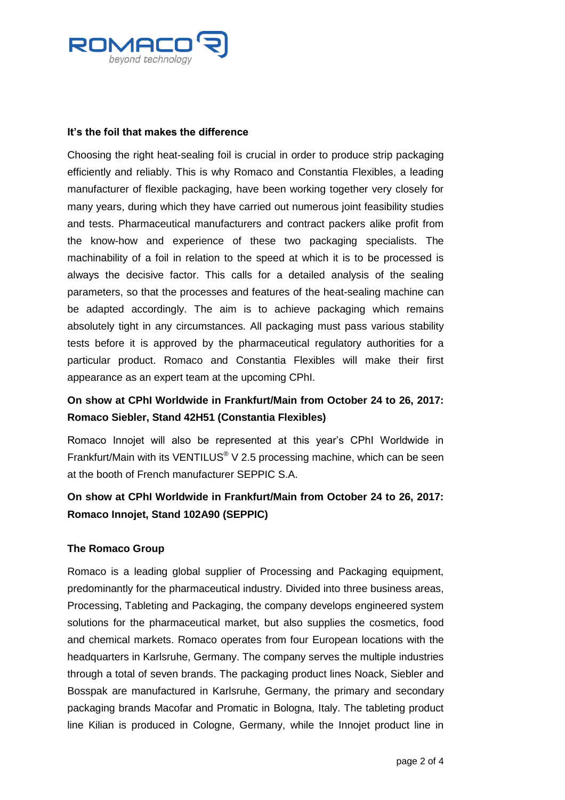

#### **It's the foil that makes the difference**

Choosing the right heat-sealing foil is crucial in order to produce strip packaging efficiently and reliably. This is why Romaco and Constantia Flexibles, a leading manufacturer of flexible packaging, have been working together very closely for many years, during which they have carried out numerous joint feasibility studies and tests. Pharmaceutical manufacturers and contract packers alike profit from the know-how and experience of these two packaging specialists. The machinability of a foil in relation to the speed at which it is to be processed is always the decisive factor. This calls for a detailed analysis of the sealing parameters, so that the processes and features of the heat-sealing machine can be adapted accordingly. The aim is to achieve packaging which remains absolutely tight in any circumstances. All packaging must pass various stability tests before it is approved by the pharmaceutical regulatory authorities for a particular product. Romaco and Constantia Flexibles will make their first appearance as an expert team at the upcoming CPhI.

# **On show at CPhI Worldwide in Frankfurt/Main from October 24 to 26, 2017: Romaco Siebler, Stand 42H51 (Constantia Flexibles)**

Romaco Innojet will also be represented at this year's CPhI Worldwide in Frankfurt/Main with its VENTILUS® V 2.5 processing machine, which can be seen at the booth of French manufacturer SEPPIC S.A.

# **On show at CPhI Worldwide in Frankfurt/Main from October 24 to 26, 2017: Romaco Innojet, Stand 102A90 (SEPPIC)**

#### **The Romaco Group**

Romaco is a leading global supplier of Processing and Packaging equipment, predominantly for the pharmaceutical industry. Divided into three business areas, Processing, Tableting and Packaging, the company develops engineered system solutions for the pharmaceutical market, but also supplies the cosmetics, food and chemical markets. Romaco operates from four European locations with the headquarters in Karlsruhe, Germany. The company serves the multiple industries through a total of seven brands. The packaging product lines Noack, Siebler and Bosspak are manufactured in Karlsruhe, Germany, the primary and secondary packaging brands Macofar and Promatic in Bologna, Italy. The tableting product line Kilian is produced in Cologne, Germany, while the Innojet product line in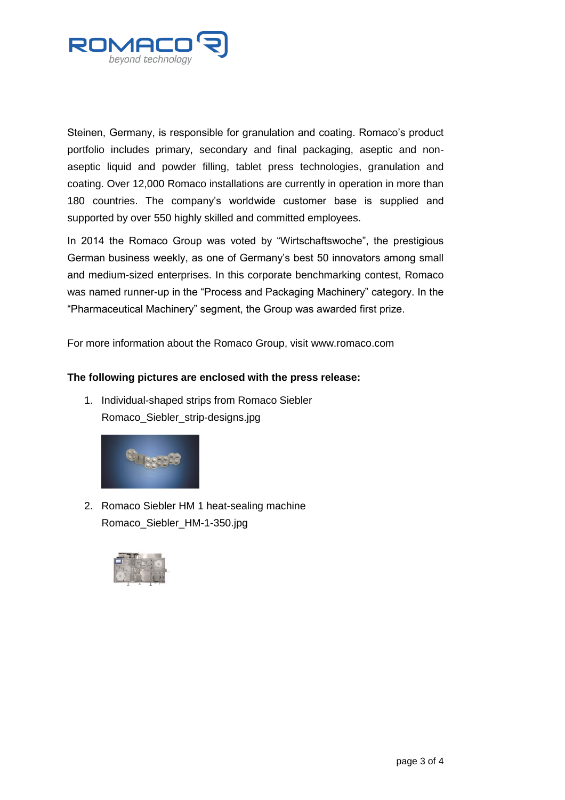

Steinen, Germany, is responsible for granulation and coating. Romaco's product portfolio includes primary, secondary and final packaging, aseptic and nonaseptic liquid and powder filling, tablet press technologies, granulation and coating. Over 12,000 Romaco installations are currently in operation in more than 180 countries. The company's worldwide customer base is supplied and supported by over 550 highly skilled and committed employees.

In 2014 the Romaco Group was voted by "Wirtschaftswoche", the prestigious German business weekly, as one of Germany's best 50 innovators among small and medium-sized enterprises. In this corporate benchmarking contest, Romaco was named runner-up in the "Process and Packaging Machinery" category. In the "Pharmaceutical Machinery" segment, the Group was awarded first prize.

For more information about the Romaco Group, visit www.romaco.com

## **The following pictures are enclosed with the press release:**

1. Individual-shaped strips from Romaco Siebler Romaco\_Siebler\_strip-designs.jpg



2. Romaco Siebler HM 1 heat-sealing machine Romaco\_Siebler\_HM-1-350.jpg